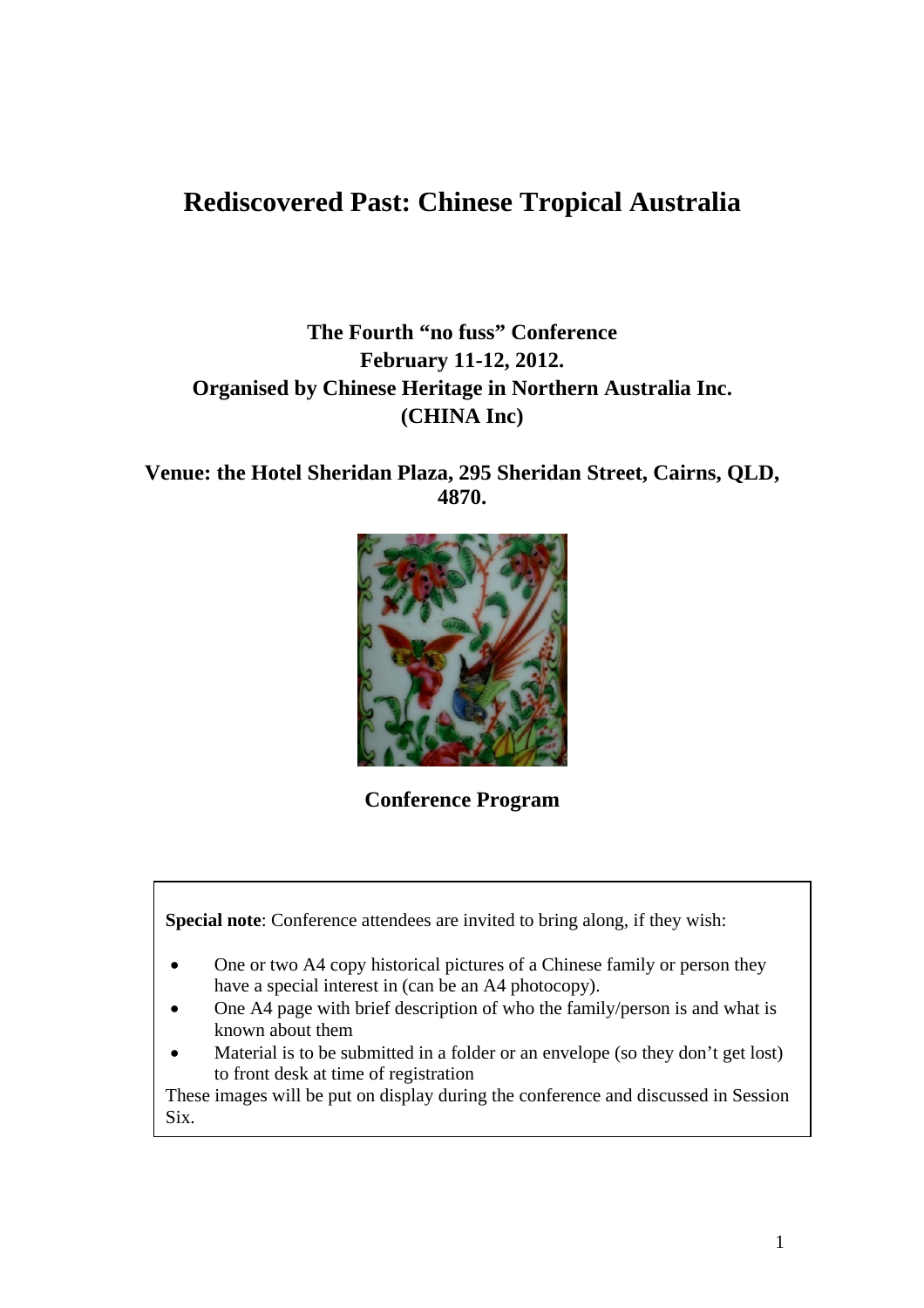# **Rediscovered Past: Chinese Tropical Australia**

# **The Fourth "no fuss" Conference February 11-12, 2012. Organised by Chinese Heritage in Northern Australia Inc. (CHINA Inc)**

**Venue: the Hotel Sheridan Plaza, 295 Sheridan Street, Cairns, QLD, 4870.** 



**Conference Program**

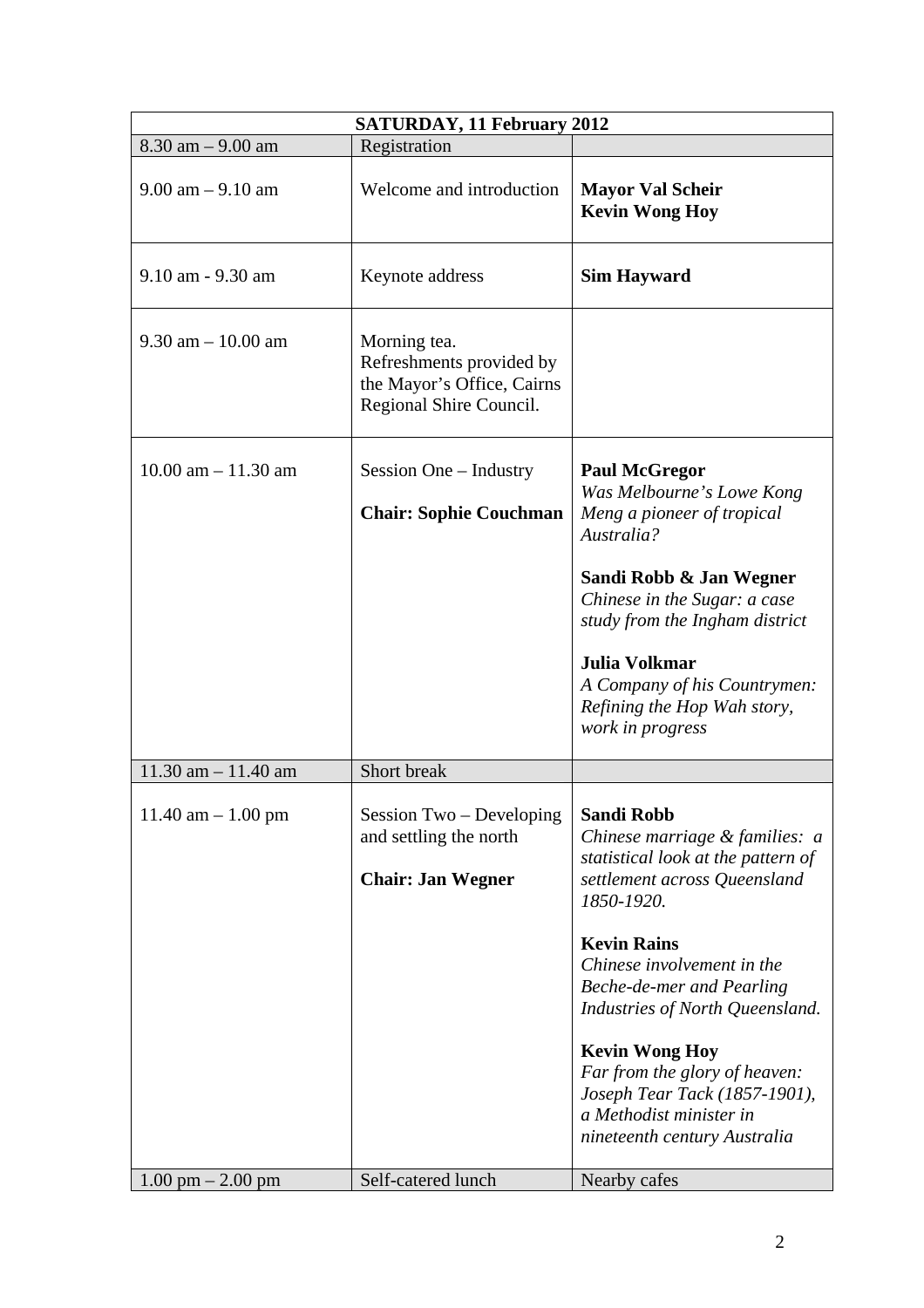| <b>SATURDAY, 11 February 2012</b>   |                                                                                                   |                                                                                                                                                                                                                                                                                                                                                                                                                   |  |  |
|-------------------------------------|---------------------------------------------------------------------------------------------------|-------------------------------------------------------------------------------------------------------------------------------------------------------------------------------------------------------------------------------------------------------------------------------------------------------------------------------------------------------------------------------------------------------------------|--|--|
| $8.30$ am $- 9.00$ am               | Registration                                                                                      |                                                                                                                                                                                                                                                                                                                                                                                                                   |  |  |
| $9.00$ am $- 9.10$ am               | Welcome and introduction                                                                          | <b>Mayor Val Scheir</b><br><b>Kevin Wong Hoy</b>                                                                                                                                                                                                                                                                                                                                                                  |  |  |
| 9.10 am - 9.30 am                   | Keynote address                                                                                   | <b>Sim Hayward</b>                                                                                                                                                                                                                                                                                                                                                                                                |  |  |
| $9.30$ am $-10.00$ am               | Morning tea.<br>Refreshments provided by<br>the Mayor's Office, Cairns<br>Regional Shire Council. |                                                                                                                                                                                                                                                                                                                                                                                                                   |  |  |
| $10.00$ am $- 11.30$ am             | Session One – Industry<br><b>Chair: Sophie Couchman</b>                                           | <b>Paul McGregor</b><br>Was Melbourne's Lowe Kong<br>Meng a pioneer of tropical<br>Australia?<br>Sandi Robb & Jan Wegner<br>Chinese in the Sugar: a case<br>study from the Ingham district<br><b>Julia Volkmar</b><br>A Company of his Countrymen:<br>Refining the Hop Wah story,<br>work in progress                                                                                                             |  |  |
| $11.30$ am $- 11.40$ am             | <b>Short</b> break                                                                                |                                                                                                                                                                                                                                                                                                                                                                                                                   |  |  |
| $11.40$ am $- 1.00$ pm              | Session Two – Developing<br>and settling the north<br><b>Chair: Jan Wegner</b>                    | <b>Sandi Robb</b><br>Chinese marriage & families: a<br>statistical look at the pattern of<br>settlement across Queensland<br>1850-1920.<br><b>Kevin Rains</b><br>Chinese involvement in the<br>Beche-de-mer and Pearling<br>Industries of North Queensland.<br><b>Kevin Wong Hoy</b><br>Far from the glory of heaven:<br>Joseph Tear Tack (1857-1901),<br>a Methodist minister in<br>nineteenth century Australia |  |  |
| $1.00 \text{ pm} - 2.00 \text{ pm}$ | Self-catered lunch                                                                                | Nearby cafes                                                                                                                                                                                                                                                                                                                                                                                                      |  |  |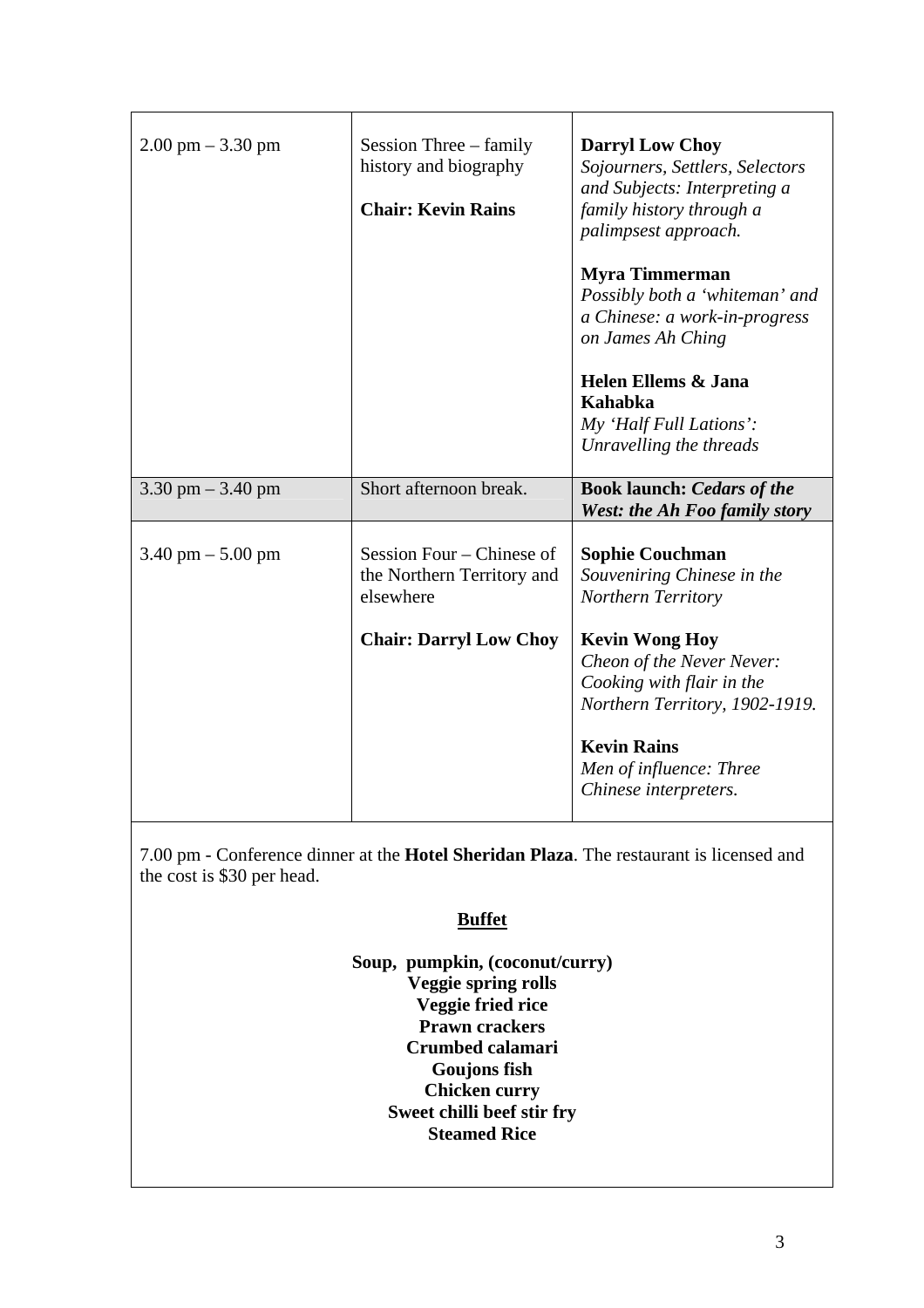| $2.00 \text{ pm} - 3.30 \text{ pm}$ | Session Three – family<br>history and biography<br><b>Chair: Kevin Rains</b> | <b>Darryl Low Choy</b><br>Sojourners, Settlers, Selectors<br>and Subjects: Interpreting a<br>family history through a<br>palimpsest approach.<br><b>Myra Timmerman</b><br>Possibly both a 'whiteman' and<br>a Chinese: a work-in-progress<br>on James Ah Ching<br>Helen Ellems & Jana<br>Kahabka<br>My 'Half Full Lations':<br>Unravelling the threads |
|-------------------------------------|------------------------------------------------------------------------------|--------------------------------------------------------------------------------------------------------------------------------------------------------------------------------------------------------------------------------------------------------------------------------------------------------------------------------------------------------|
| 3.30 pm $-$ 3.40 pm                 | Short afternoon break.                                                       | <b>Book launch: Cedars of the</b><br><b>West: the Ah Foo family story</b>                                                                                                                                                                                                                                                                              |
| 3.40 pm $-$ 5.00 pm                 | Session Four – Chinese of<br>the Northern Territory and<br>elsewhere         | <b>Sophie Couchman</b><br>Souveniring Chinese in the<br><b>Northern Territory</b>                                                                                                                                                                                                                                                                      |
|                                     | <b>Chair: Darryl Low Choy</b>                                                | <b>Kevin Wong Hoy</b><br>Cheon of the Never Never:<br>Cooking with flair in the<br>Northern Territory, 1902-1919.                                                                                                                                                                                                                                      |
|                                     |                                                                              | <b>Kevin Rains</b><br>Men of influence: Three<br>Chinese interpreters.                                                                                                                                                                                                                                                                                 |

7.00 pm - Conference dinner at the **Hotel Sheridan Plaza**. The restaurant is licensed and the cost is \$30 per head.

# **Buffet**

**Soup, pumpkin, (coconut/curry) Veggie spring rolls Veggie fried rice Prawn crackers Crumbed calamari Goujons fish Chicken curry Sweet chilli beef stir fry Steamed Rice**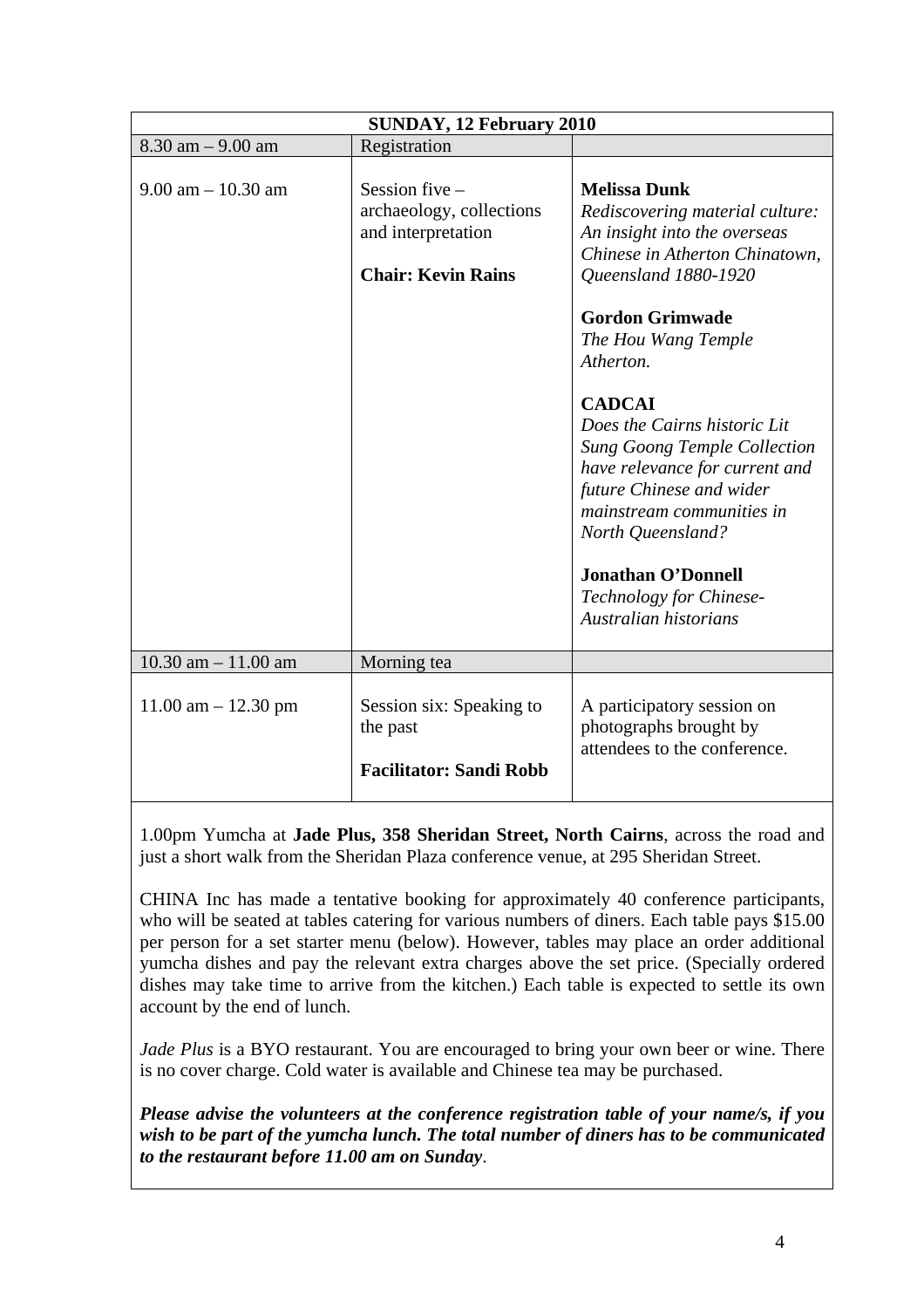| <b>SUNDAY, 12 February 2010</b> |                                                                                                 |                                                                                                                                                                                                                                                                                                                                                                                                                                                                                                         |  |
|---------------------------------|-------------------------------------------------------------------------------------------------|---------------------------------------------------------------------------------------------------------------------------------------------------------------------------------------------------------------------------------------------------------------------------------------------------------------------------------------------------------------------------------------------------------------------------------------------------------------------------------------------------------|--|
| $8.30$ am $-9.00$ am            | Registration                                                                                    |                                                                                                                                                                                                                                                                                                                                                                                                                                                                                                         |  |
| $9.00$ am $- 10.30$ am          | Session five $-$<br>archaeology, collections<br>and interpretation<br><b>Chair: Kevin Rains</b> | <b>Melissa Dunk</b><br>Rediscovering material culture:<br>An insight into the overseas<br>Chinese in Atherton Chinatown,<br>Queensland 1880-1920<br><b>Gordon Grimwade</b><br>The Hou Wang Temple<br>Atherton.<br><b>CADCAI</b><br>Does the Cairns historic Lit<br><b>Sung Goong Temple Collection</b><br>have relevance for current and<br>future Chinese and wider<br>mainstream communities in<br>North Queensland?<br><b>Jonathan O'Donnell</b><br>Technology for Chinese-<br>Australian historians |  |
| $10.30$ am $- 11.00$ am         | Morning tea                                                                                     |                                                                                                                                                                                                                                                                                                                                                                                                                                                                                                         |  |
| $11.00$ am $- 12.30$ pm         | Session six: Speaking to<br>the past<br><b>Facilitator: Sandi Robb</b>                          | A participatory session on<br>photographs brought by<br>attendees to the conference.                                                                                                                                                                                                                                                                                                                                                                                                                    |  |

1.00pm Yumcha at **Jade Plus, 358 Sheridan Street, North Cairns**, across the road and just a short walk from the Sheridan Plaza conference venue, at 295 Sheridan Street.

CHINA Inc has made a tentative booking for approximately 40 conference participants, who will be seated at tables catering for various numbers of diners. Each table pays \$15.00 per person for a set starter menu (below). However, tables may place an order additional yumcha dishes and pay the relevant extra charges above the set price. (Specially ordered dishes may take time to arrive from the kitchen.) Each table is expected to settle its own account by the end of lunch.

*Jade Plus* is a BYO restaurant. You are encouraged to bring your own beer or wine. There is no cover charge. Cold water is available and Chinese tea may be purchased.

*Please advise the volunteers at the conference registration table of your name/s, if you wish to be part of the yumcha lunch. The total number of diners has to be communicated to the restaurant before 11.00 am on Sunday*.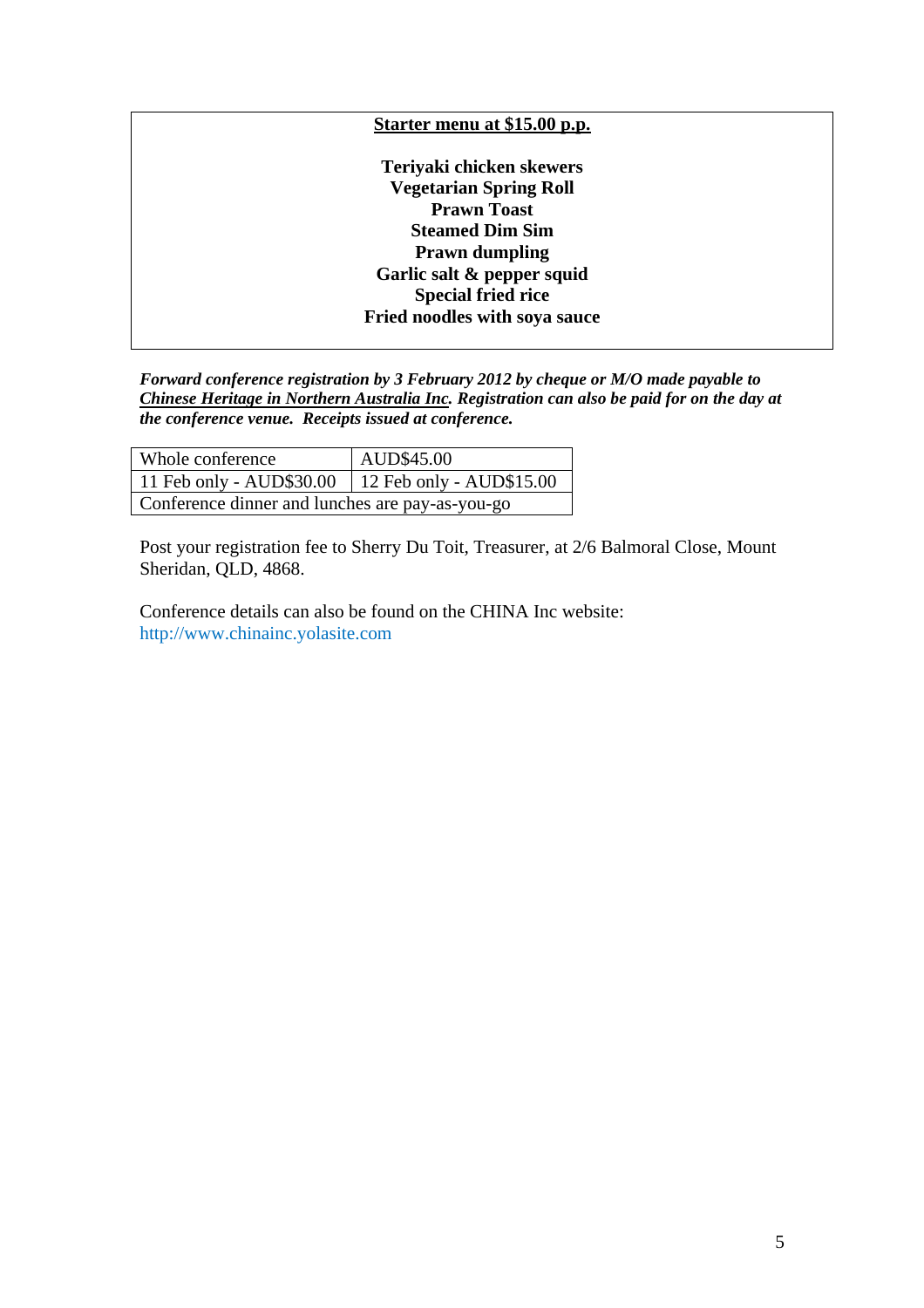## **Starter menu at \$15.00 p.p.**

**Teriyaki chicken skewers Vegetarian Spring Roll Prawn Toast Steamed Dim Sim Prawn dumpling Garlic salt & pepper squid Special fried rice Fried noodles with soya sauce** 

*Forward conference registration by 3 February 2012 by cheque or M/O made payable to Chinese Heritage in Northern Australia Inc. Registration can also be paid for on the day at the conference venue. Receipts issued at conference.* 

| Whole conference                                    | AUD\$45.00 |  |  |
|-----------------------------------------------------|------------|--|--|
| 11 Feb only - AUD\$30.00   12 Feb only - AUD\$15.00 |            |  |  |
| Conference dinner and lunches are pay-as-you-go     |            |  |  |

Post your registration fee to Sherry Du Toit, Treasurer, at 2/6 Balmoral Close, Mount Sheridan, QLD, 4868.

Conference details can also be found on the CHINA Inc website: http://www.chinainc.yolasite.com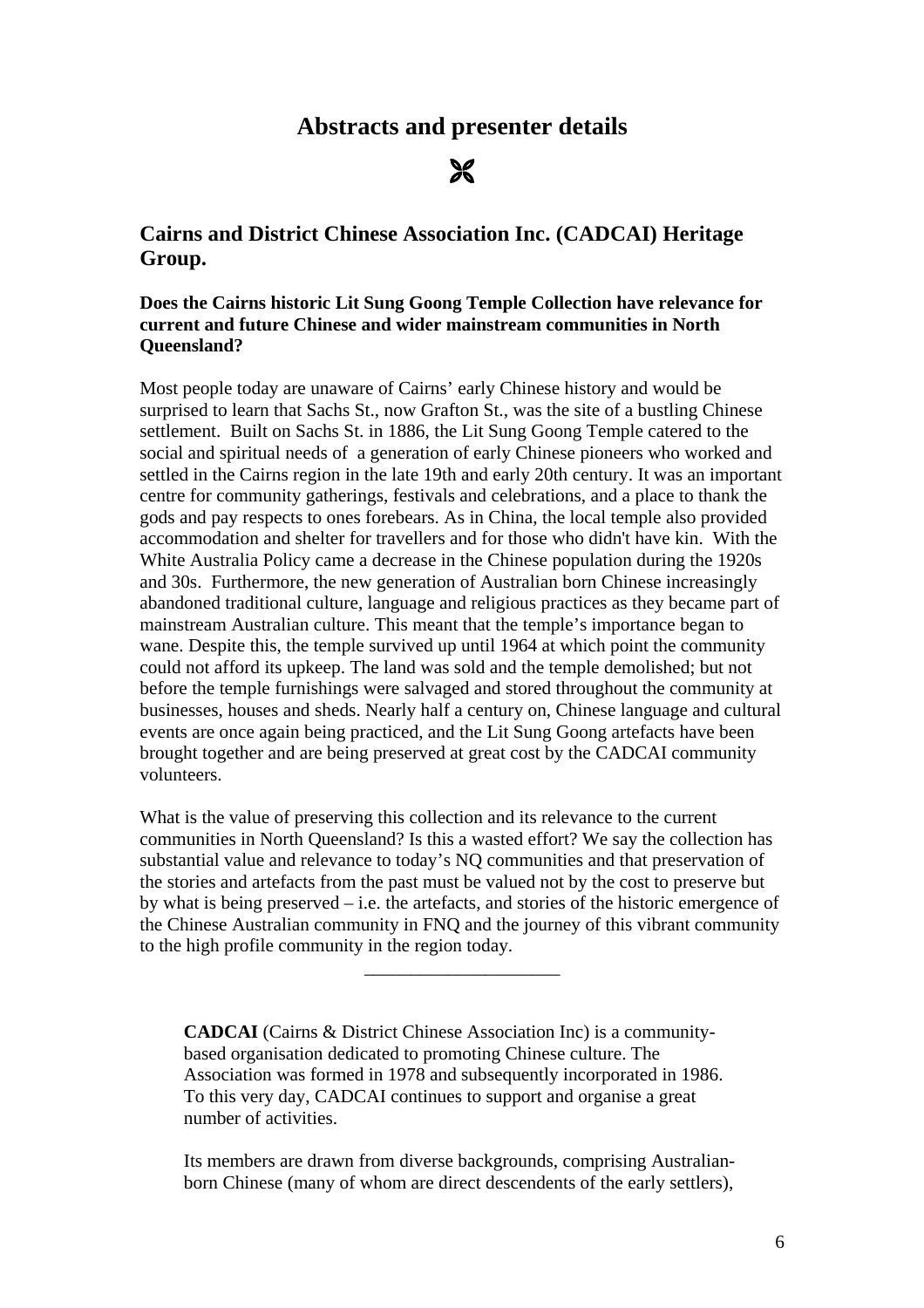# **Abstracts and presenter details**

Ж

# **Cairns and District Chinese Association Inc. (CADCAI) Heritage Group.**

#### **Does the Cairns historic Lit Sung Goong Temple Collection have relevance for current and future Chinese and wider mainstream communities in North Queensland?**

Most people today are unaware of Cairns' early Chinese history and would be surprised to learn that Sachs St., now Grafton St., was the site of a bustling Chinese settlement. Built on Sachs St. in 1886, the Lit Sung Goong Temple catered to the social and spiritual needs of a generation of early Chinese pioneers who worked and settled in the Cairns region in the late 19th and early 20th century. It was an important centre for community gatherings, festivals and celebrations, and a place to thank the gods and pay respects to ones forebears. As in China, the local temple also provided accommodation and shelter for travellers and for those who didn't have kin. With the White Australia Policy came a decrease in the Chinese population during the 1920s and 30s. Furthermore, the new generation of Australian born Chinese increasingly abandoned traditional culture, language and religious practices as they became part of mainstream Australian culture. This meant that the temple's importance began to wane. Despite this, the temple survived up until 1964 at which point the community could not afford its upkeep. The land was sold and the temple demolished; but not before the temple furnishings were salvaged and stored throughout the community at businesses, houses and sheds. Nearly half a century on, Chinese language and cultural events are once again being practiced, and the Lit Sung Goong artefacts have been brought together and are being preserved at great cost by the CADCAI community volunteers.

What is the value of preserving this collection and its relevance to the current communities in North Queensland? Is this a wasted effort? We say the collection has substantial value and relevance to today's NQ communities and that preservation of the stories and artefacts from the past must be valued not by the cost to preserve but by what is being preserved – i.e. the artefacts, and stories of the historic emergence of the Chinese Australian community in FNQ and the journey of this vibrant community to the high profile community in the region today.

\_\_\_\_\_\_\_\_\_\_\_\_\_\_\_\_\_\_\_\_\_

**CADCAI** (Cairns & District Chinese Association Inc) is a communitybased organisation dedicated to promoting Chinese culture. The Association was formed in 1978 and subsequently incorporated in 1986. To this very day, CADCAI continues to support and organise a great number of activities.

Its members are drawn from diverse backgrounds, comprising Australianborn Chinese (many of whom are direct descendents of the early settlers),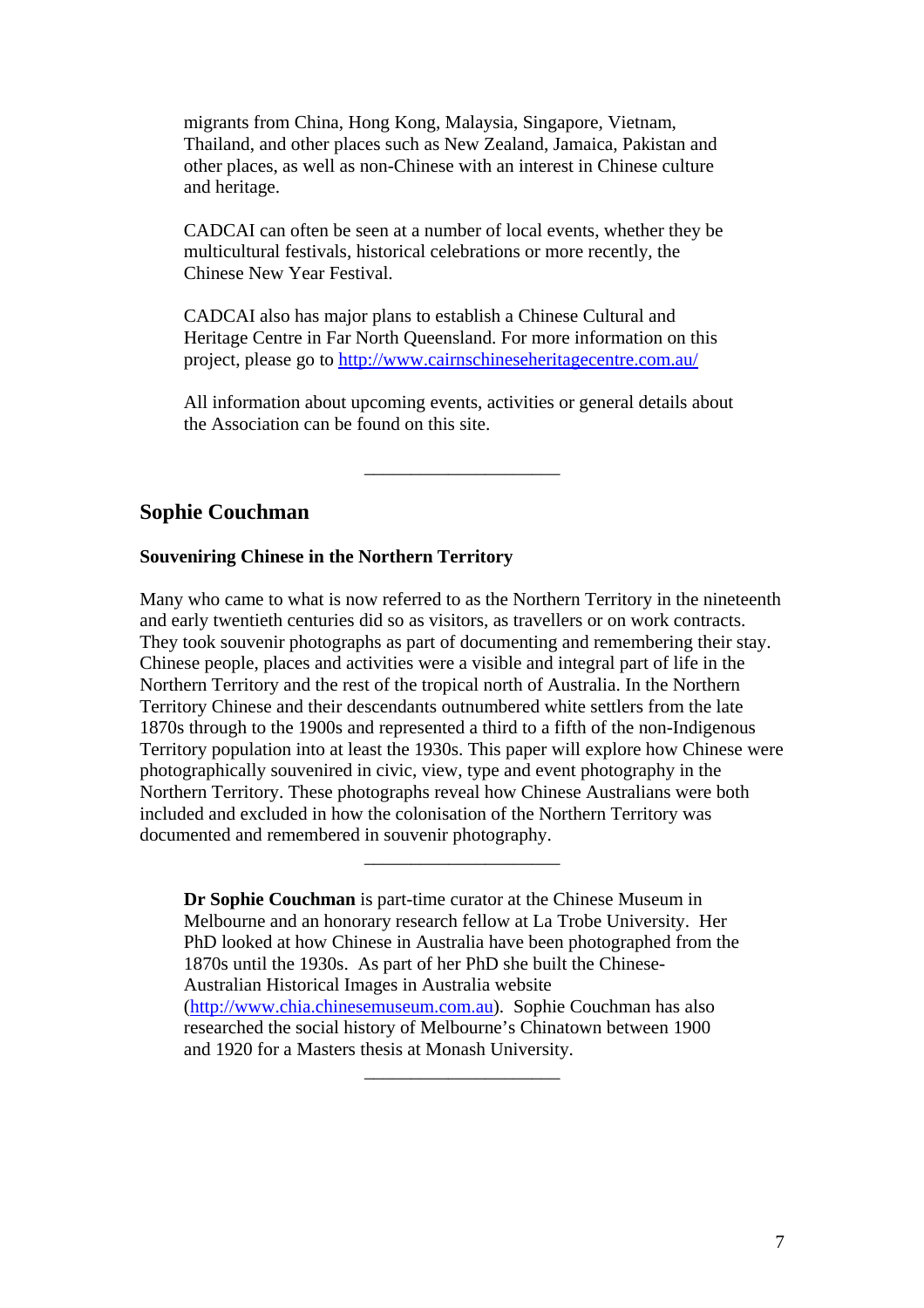migrants from China, Hong Kong, Malaysia, Singapore, Vietnam, Thailand, and other places such as New Zealand, Jamaica, Pakistan and other places, as well as non-Chinese with an interest in Chinese culture and heritage.

CADCAI can often be seen at a number of local events, whether they be multicultural festivals, historical celebrations or more recently, the Chinese New Year Festival.

CADCAI also has major plans to establish a Chinese Cultural and Heritage Centre in Far North Queensland. For more information on this project, please go to http://www.cairnschineseheritagecentre.com.au/

All information about upcoming events, activities or general details about the Association can be found on this site.

\_\_\_\_\_\_\_\_\_\_\_\_\_\_\_\_\_\_\_\_\_

## **Sophie Couchman**

#### **Souveniring Chinese in the Northern Territory**

Many who came to what is now referred to as the Northern Territory in the nineteenth and early twentieth centuries did so as visitors, as travellers or on work contracts. They took souvenir photographs as part of documenting and remembering their stay. Chinese people, places and activities were a visible and integral part of life in the Northern Territory and the rest of the tropical north of Australia. In the Northern Territory Chinese and their descendants outnumbered white settlers from the late 1870s through to the 1900s and represented a third to a fifth of the non-Indigenous Territory population into at least the 1930s. This paper will explore how Chinese were photographically souvenired in civic, view, type and event photography in the Northern Territory. These photographs reveal how Chinese Australians were both included and excluded in how the colonisation of the Northern Territory was documented and remembered in souvenir photography.

**Dr Sophie Couchman** is part-time curator at the Chinese Museum in Melbourne and an honorary research fellow at La Trobe University. Her PhD looked at how Chinese in Australia have been photographed from the 1870s until the 1930s. As part of her PhD she built the Chinese-Australian Historical Images in Australia website (http://www.chia.chinesemuseum.com.au). Sophie Couchman has also researched the social history of Melbourne's Chinatown between 1900 and 1920 for a Masters thesis at Monash University. \_\_\_\_\_\_\_\_\_\_\_\_\_\_\_\_\_\_\_\_\_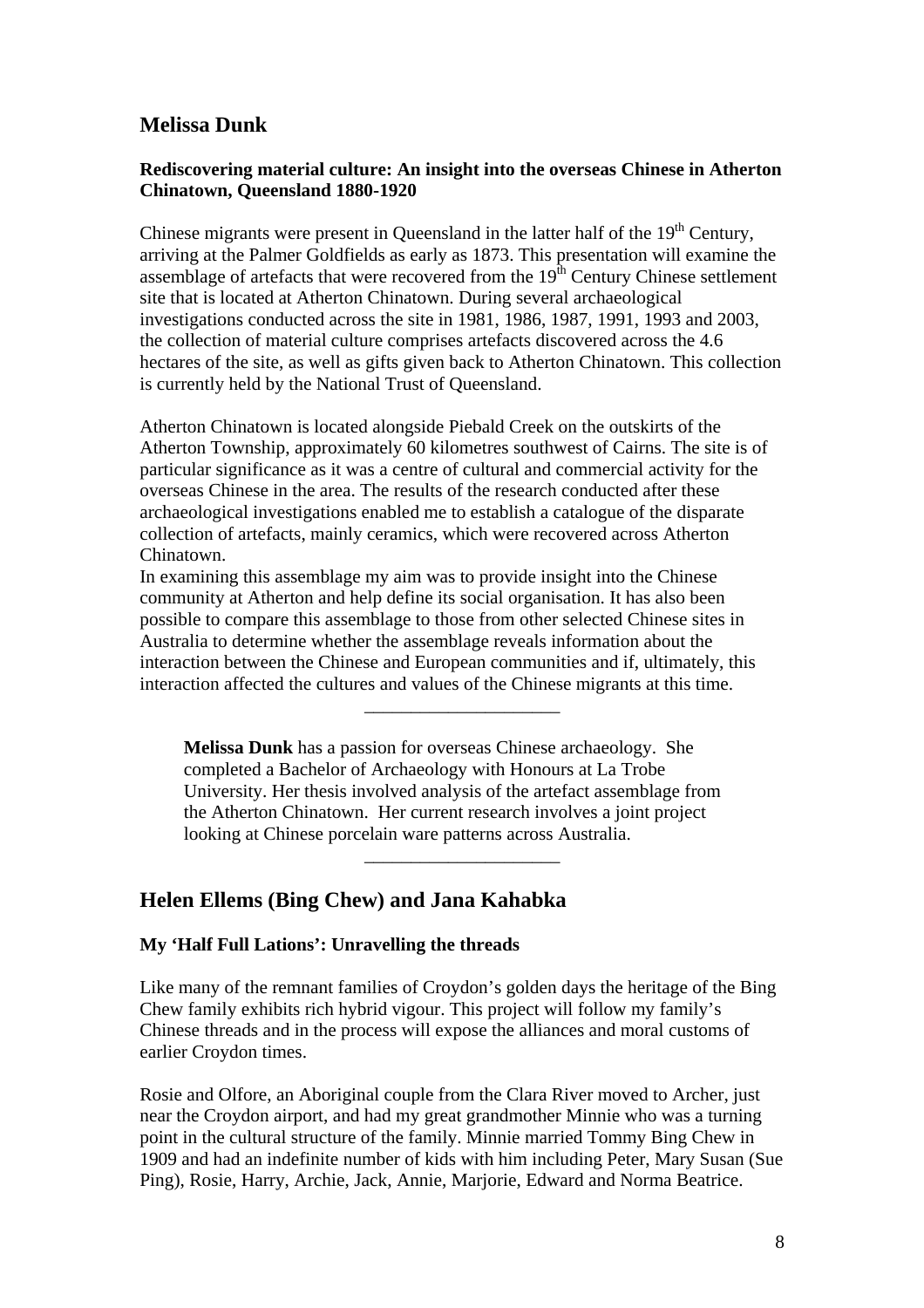# **Melissa Dunk**

#### **Rediscovering material culture: An insight into the overseas Chinese in Atherton Chinatown, Queensland 1880-1920**

Chinese migrants were present in Queensland in the latter half of the  $19<sup>th</sup>$  Century, arriving at the Palmer Goldfields as early as 1873. This presentation will examine the assemblage of artefacts that were recovered from the  $19<sup>th</sup>$  Century Chinese settlement site that is located at Atherton Chinatown. During several archaeological investigations conducted across the site in 1981, 1986, 1987, 1991, 1993 and 2003, the collection of material culture comprises artefacts discovered across the 4.6 hectares of the site, as well as gifts given back to Atherton Chinatown. This collection is currently held by the National Trust of Queensland.

Atherton Chinatown is located alongside Piebald Creek on the outskirts of the Atherton Township, approximately 60 kilometres southwest of Cairns. The site is of particular significance as it was a centre of cultural and commercial activity for the overseas Chinese in the area. The results of the research conducted after these archaeological investigations enabled me to establish a catalogue of the disparate collection of artefacts, mainly ceramics, which were recovered across Atherton Chinatown.

In examining this assemblage my aim was to provide insight into the Chinese community at Atherton and help define its social organisation. It has also been possible to compare this assemblage to those from other selected Chinese sites in Australia to determine whether the assemblage reveals information about the interaction between the Chinese and European communities and if, ultimately, this interaction affected the cultures and values of the Chinese migrants at this time.

**Melissa Dunk** has a passion for overseas Chinese archaeology. She completed a Bachelor of Archaeology with Honours at La Trobe University. Her thesis involved analysis of the artefact assemblage from the Atherton Chinatown. Her current research involves a joint project looking at Chinese porcelain ware patterns across Australia.

\_\_\_\_\_\_\_\_\_\_\_\_\_\_\_\_\_\_\_\_\_

\_\_\_\_\_\_\_\_\_\_\_\_\_\_\_\_\_\_\_\_\_

# **Helen Ellems (Bing Chew) and Jana Kahabka**

#### **My 'Half Full Lations': Unravelling the threads**

Like many of the remnant families of Croydon's golden days the heritage of the Bing Chew family exhibits rich hybrid vigour. This project will follow my family's Chinese threads and in the process will expose the alliances and moral customs of earlier Croydon times.

Rosie and Olfore, an Aboriginal couple from the Clara River moved to Archer, just near the Croydon airport, and had my great grandmother Minnie who was a turning point in the cultural structure of the family. Minnie married Tommy Bing Chew in 1909 and had an indefinite number of kids with him including Peter, Mary Susan (Sue Ping), Rosie, Harry, Archie, Jack, Annie, Marjorie, Edward and Norma Beatrice.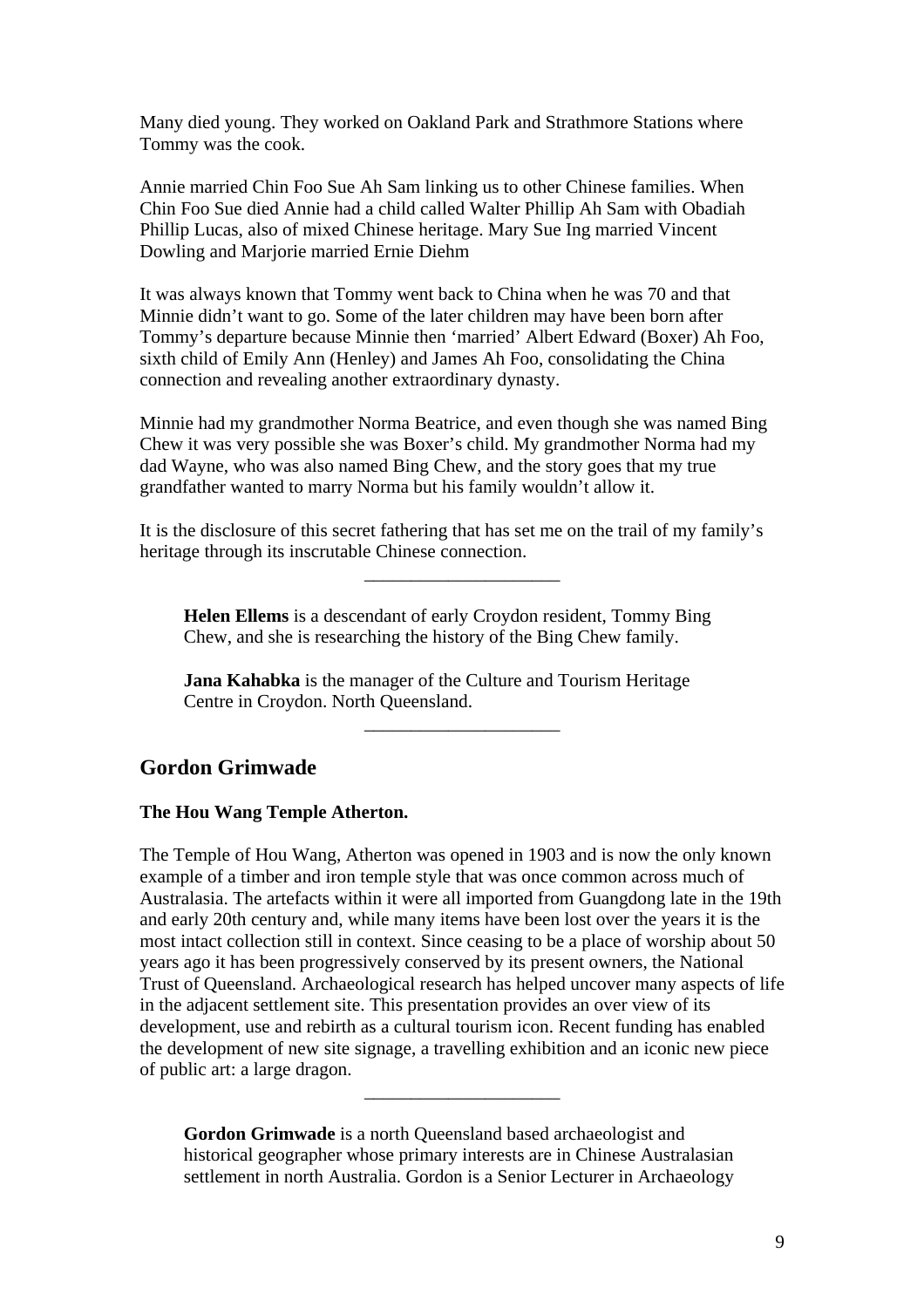Many died young. They worked on Oakland Park and Strathmore Stations where Tommy was the cook.

Annie married Chin Foo Sue Ah Sam linking us to other Chinese families. When Chin Foo Sue died Annie had a child called Walter Phillip Ah Sam with Obadiah Phillip Lucas, also of mixed Chinese heritage. Mary Sue Ing married Vincent Dowling and Marjorie married Ernie Diehm

It was always known that Tommy went back to China when he was 70 and that Minnie didn't want to go. Some of the later children may have been born after Tommy's departure because Minnie then 'married' Albert Edward (Boxer) Ah Foo, sixth child of Emily Ann (Henley) and James Ah Foo, consolidating the China connection and revealing another extraordinary dynasty.

Minnie had my grandmother Norma Beatrice, and even though she was named Bing Chew it was very possible she was Boxer's child. My grandmother Norma had my dad Wayne, who was also named Bing Chew, and the story goes that my true grandfather wanted to marry Norma but his family wouldn't allow it.

It is the disclosure of this secret fathering that has set me on the trail of my family's heritage through its inscrutable Chinese connection.

\_\_\_\_\_\_\_\_\_\_\_\_\_\_\_\_\_\_\_\_\_

\_\_\_\_\_\_\_\_\_\_\_\_\_\_\_\_\_\_\_\_\_

**Helen Ellems** is a descendant of early Croydon resident, Tommy Bing Chew, and she is researching the history of the Bing Chew family.

**Jana Kahabka** is the manager of the Culture and Tourism Heritage Centre in Croydon. North Queensland.

## **Gordon Grimwade**

#### **The Hou Wang Temple Atherton.**

The Temple of Hou Wang, Atherton was opened in 1903 and is now the only known example of a timber and iron temple style that was once common across much of Australasia. The artefacts within it were all imported from Guangdong late in the 19th and early 20th century and, while many items have been lost over the years it is the most intact collection still in context. Since ceasing to be a place of worship about 50 years ago it has been progressively conserved by its present owners, the National Trust of Queensland. Archaeological research has helped uncover many aspects of life in the adjacent settlement site. This presentation provides an over view of its development, use and rebirth as a cultural tourism icon. Recent funding has enabled the development of new site signage, a travelling exhibition and an iconic new piece of public art: a large dragon.

**Gordon Grimwade** is a north Queensland based archaeologist and historical geographer whose primary interests are in Chinese Australasian settlement in north Australia. Gordon is a Senior Lecturer in Archaeology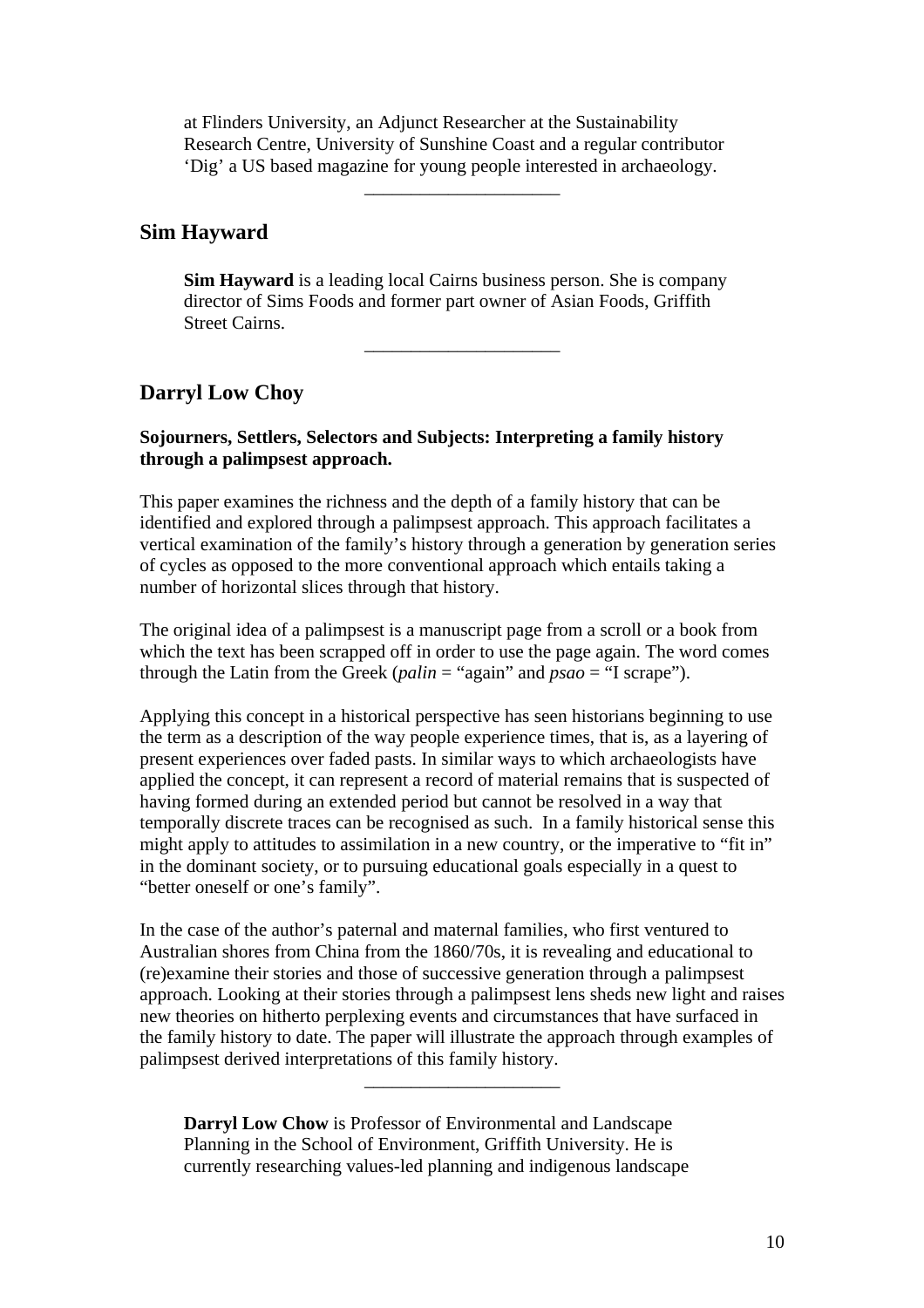at Flinders University, an Adjunct Researcher at the Sustainability Research Centre, University of Sunshine Coast and a regular contributor 'Dig' a US based magazine for young people interested in archaeology.

\_\_\_\_\_\_\_\_\_\_\_\_\_\_\_\_\_\_\_\_\_

#### **Sim Hayward**

**Sim Hayward** is a leading local Cairns business person. She is company director of Sims Foods and former part owner of Asian Foods, Griffith Street Cairns.

\_\_\_\_\_\_\_\_\_\_\_\_\_\_\_\_\_\_\_\_\_

#### **Darryl Low Choy**

#### **Sojourners, Settlers, Selectors and Subjects: Interpreting a family history through a palimpsest approach.**

This paper examines the richness and the depth of a family history that can be identified and explored through a palimpsest approach. This approach facilitates a vertical examination of the family's history through a generation by generation series of cycles as opposed to the more conventional approach which entails taking a number of horizontal slices through that history.

The original idea of a palimpsest is a manuscript page from a scroll or a book from which the text has been scrapped off in order to use the page again. The word comes through the Latin from the Greek (*palin* = "again" and  $psao =$  "I scrape").

Applying this concept in a historical perspective has seen historians beginning to use the term as a description of the way people experience times, that is, as a layering of present experiences over faded pasts. In similar ways to which archaeologists have applied the concept, it can represent a record of material remains that is suspected of having formed during an extended period but cannot be resolved in a way that temporally discrete traces can be recognised as such. In a family historical sense this might apply to attitudes to assimilation in a new country, or the imperative to "fit in" in the dominant society, or to pursuing educational goals especially in a quest to "better oneself or one's family".

In the case of the author's paternal and maternal families, who first ventured to Australian shores from China from the 1860/70s, it is revealing and educational to (re)examine their stories and those of successive generation through a palimpsest approach. Looking at their stories through a palimpsest lens sheds new light and raises new theories on hitherto perplexing events and circumstances that have surfaced in the family history to date. The paper will illustrate the approach through examples of palimpsest derived interpretations of this family history.

\_\_\_\_\_\_\_\_\_\_\_\_\_\_\_\_\_\_\_\_\_

**Darryl Low Chow** is Professor of Environmental and Landscape Planning in the School of Environment, Griffith University. He is currently researching values-led planning and indigenous landscape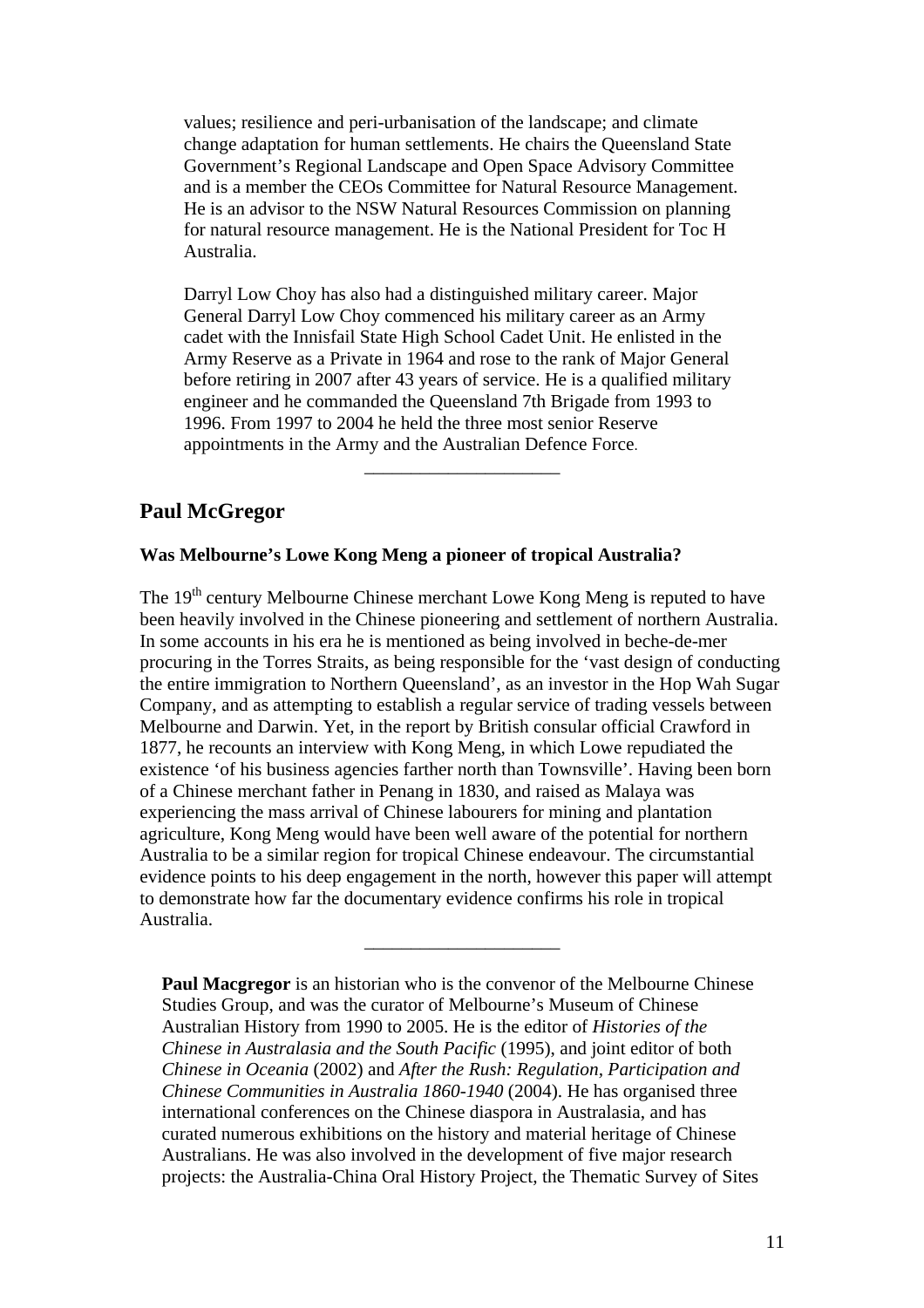values; resilience and peri-urbanisation of the landscape; and climate change adaptation for human settlements. He chairs the Queensland State Government's Regional Landscape and Open Space Advisory Committee and is a member the CEOs Committee for Natural Resource Management. He is an advisor to the NSW Natural Resources Commission on planning for natural resource management. He is the National President for Toc H Australia.

Darryl Low Choy has also had a distinguished military career. Major General Darryl Low Choy commenced his military career as an Army cadet with the Innisfail State High School Cadet Unit. He enlisted in the Army Reserve as a Private in 1964 and rose to the rank of Major General before retiring in 2007 after 43 years of service. He is a qualified military engineer and he commanded the Queensland 7th Brigade from 1993 to 1996. From 1997 to 2004 he held the three most senior Reserve appointments in the Army and the Australian Defence Force.

\_\_\_\_\_\_\_\_\_\_\_\_\_\_\_\_\_\_\_\_\_

## **Paul McGregor**

### **Was Melbourne's Lowe Kong Meng a pioneer of tropical Australia?**

The 19<sup>th</sup> century Melbourne Chinese merchant Lowe Kong Meng is reputed to have been heavily involved in the Chinese pioneering and settlement of northern Australia. In some accounts in his era he is mentioned as being involved in beche-de-mer procuring in the Torres Straits, as being responsible for the 'vast design of conducting the entire immigration to Northern Queensland', as an investor in the Hop Wah Sugar Company, and as attempting to establish a regular service of trading vessels between Melbourne and Darwin. Yet, in the report by British consular official Crawford in 1877, he recounts an interview with Kong Meng, in which Lowe repudiated the existence 'of his business agencies farther north than Townsville'. Having been born of a Chinese merchant father in Penang in 1830, and raised as Malaya was experiencing the mass arrival of Chinese labourers for mining and plantation agriculture, Kong Meng would have been well aware of the potential for northern Australia to be a similar region for tropical Chinese endeavour. The circumstantial evidence points to his deep engagement in the north, however this paper will attempt to demonstrate how far the documentary evidence confirms his role in tropical Australia.

**Paul Macgregor** is an historian who is the convenor of the Melbourne Chinese Studies Group, and was the curator of Melbourne's Museum of Chinese Australian History from 1990 to 2005. He is the editor of *Histories of the Chinese in Australasia and the South Pacific* (1995), and joint editor of both *Chinese in Oceania* (2002) and *After the Rush: Regulation, Participation and Chinese Communities in Australia 1860-1940* (2004). He has organised three international conferences on the Chinese diaspora in Australasia, and has curated numerous exhibitions on the history and material heritage of Chinese Australians. He was also involved in the development of five major research projects: the Australia-China Oral History Project, the Thematic Survey of Sites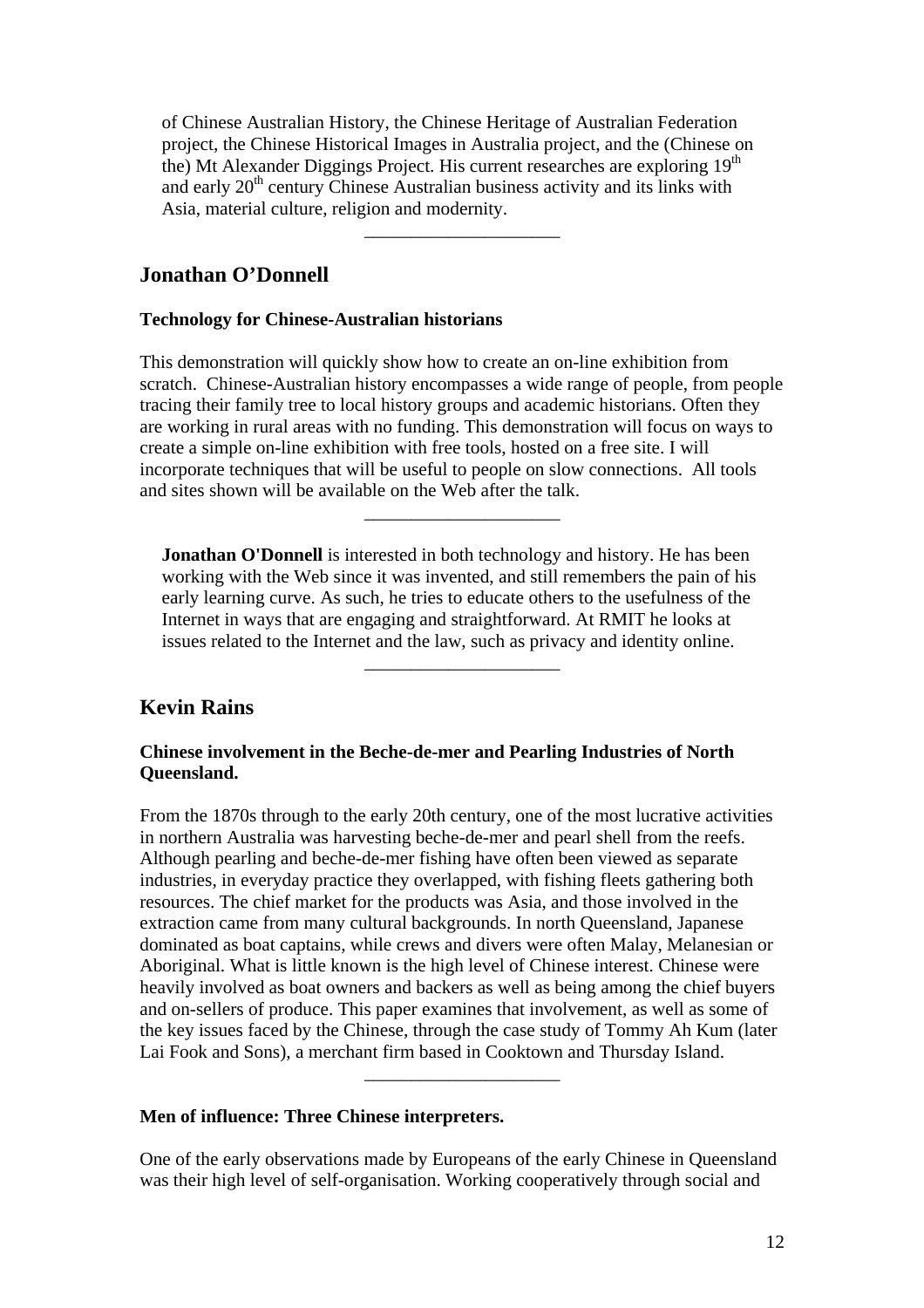of Chinese Australian History, the Chinese Heritage of Australian Federation project, the Chinese Historical Images in Australia project, and the (Chinese on the) Mt Alexander Diggings Project. His current researches are exploring  $19<sup>th</sup>$ and early 20<sup>th</sup> century Chinese Australian business activity and its links with Asia, material culture, religion and modernity.

\_\_\_\_\_\_\_\_\_\_\_\_\_\_\_\_\_\_\_\_\_

## **Jonathan O'Donnell**

#### **Technology for Chinese-Australian historians**

This demonstration will quickly show how to create an on-line exhibition from scratch. Chinese-Australian history encompasses a wide range of people, from people tracing their family tree to local history groups and academic historians. Often they are working in rural areas with no funding. This demonstration will focus on ways to create a simple on-line exhibition with free tools, hosted on a free site. I will incorporate techniques that will be useful to people on slow connections. All tools and sites shown will be available on the Web after the talk.

\_\_\_\_\_\_\_\_\_\_\_\_\_\_\_\_\_\_\_\_\_

**Jonathan O'Donnell** is interested in both technology and history. He has been working with the Web since it was invented, and still remembers the pain of his early learning curve. As such, he tries to educate others to the usefulness of the Internet in ways that are engaging and straightforward. At RMIT he looks at issues related to the Internet and the law, such as privacy and identity online.

\_\_\_\_\_\_\_\_\_\_\_\_\_\_\_\_\_\_\_\_\_

## **Kevin Rains**

#### **Chinese involvement in the Beche-de-mer and Pearling Industries of North Queensland.**

From the 1870s through to the early 20th century, one of the most lucrative activities in northern Australia was harvesting beche-de-mer and pearl shell from the reefs. Although pearling and beche-de-mer fishing have often been viewed as separate industries, in everyday practice they overlapped, with fishing fleets gathering both resources. The chief market for the products was Asia, and those involved in the extraction came from many cultural backgrounds. In north Queensland, Japanese dominated as boat captains, while crews and divers were often Malay, Melanesian or Aboriginal. What is little known is the high level of Chinese interest. Chinese were heavily involved as boat owners and backers as well as being among the chief buyers and on-sellers of produce. This paper examines that involvement, as well as some of the key issues faced by the Chinese, through the case study of Tommy Ah Kum (later Lai Fook and Sons), a merchant firm based in Cooktown and Thursday Island.

#### **Men of influence: Three Chinese interpreters.**

One of the early observations made by Europeans of the early Chinese in Queensland was their high level of self-organisation. Working cooperatively through social and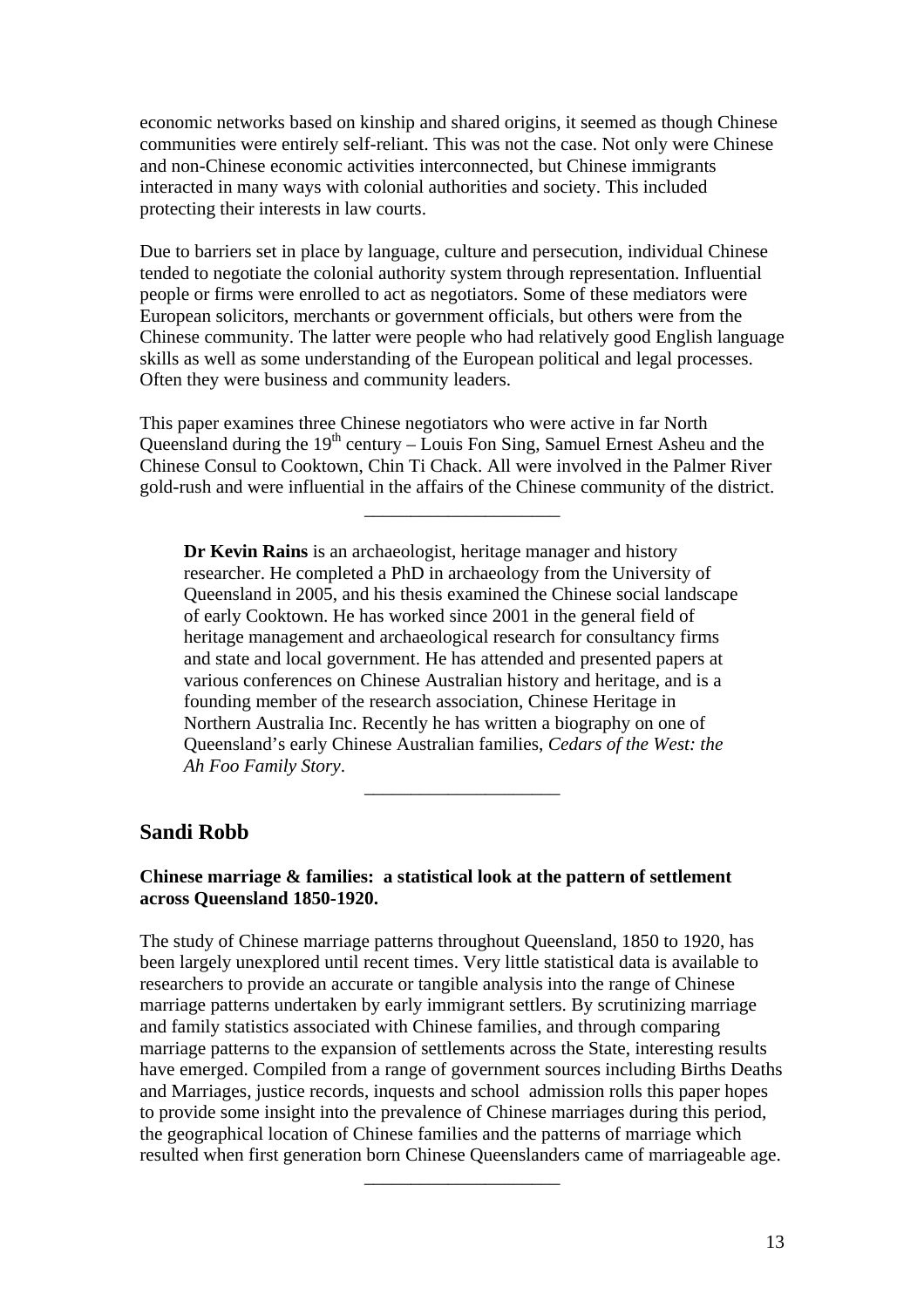economic networks based on kinship and shared origins, it seemed as though Chinese communities were entirely self-reliant. This was not the case. Not only were Chinese and non-Chinese economic activities interconnected, but Chinese immigrants interacted in many ways with colonial authorities and society. This included protecting their interests in law courts.

Due to barriers set in place by language, culture and persecution, individual Chinese tended to negotiate the colonial authority system through representation. Influential people or firms were enrolled to act as negotiators. Some of these mediators were European solicitors, merchants or government officials, but others were from the Chinese community. The latter were people who had relatively good English language skills as well as some understanding of the European political and legal processes. Often they were business and community leaders.

This paper examines three Chinese negotiators who were active in far North Queensland during the  $19<sup>th</sup>$  century – Louis Fon Sing, Samuel Ernest Asheu and the Chinese Consul to Cooktown, Chin Ti Chack. All were involved in the Palmer River gold-rush and were influential in the affairs of the Chinese community of the district.

\_\_\_\_\_\_\_\_\_\_\_\_\_\_\_\_\_\_\_\_\_

**Dr Kevin Rains** is an archaeologist, heritage manager and history researcher. He completed a PhD in archaeology from the University of Queensland in 2005, and his thesis examined the Chinese social landscape of early Cooktown. He has worked since 2001 in the general field of heritage management and archaeological research for consultancy firms and state and local government. He has attended and presented papers at various conferences on Chinese Australian history and heritage, and is a founding member of the research association, Chinese Heritage in Northern Australia Inc. Recently he has written a biography on one of Queensland's early Chinese Australian families, *Cedars of the West: the Ah Foo Family Story*.

\_\_\_\_\_\_\_\_\_\_\_\_\_\_\_\_\_\_\_\_\_

## **Sandi Robb**

#### **Chinese marriage & families: a statistical look at the pattern of settlement across Queensland 1850-1920.**

The study of Chinese marriage patterns throughout Queensland, 1850 to 1920, has been largely unexplored until recent times. Very little statistical data is available to researchers to provide an accurate or tangible analysis into the range of Chinese marriage patterns undertaken by early immigrant settlers. By scrutinizing marriage and family statistics associated with Chinese families, and through comparing marriage patterns to the expansion of settlements across the State, interesting results have emerged. Compiled from a range of government sources including Births Deaths and Marriages, justice records, inquests and school admission rolls this paper hopes to provide some insight into the prevalence of Chinese marriages during this period, the geographical location of Chinese families and the patterns of marriage which resulted when first generation born Chinese Queenslanders came of marriageable age.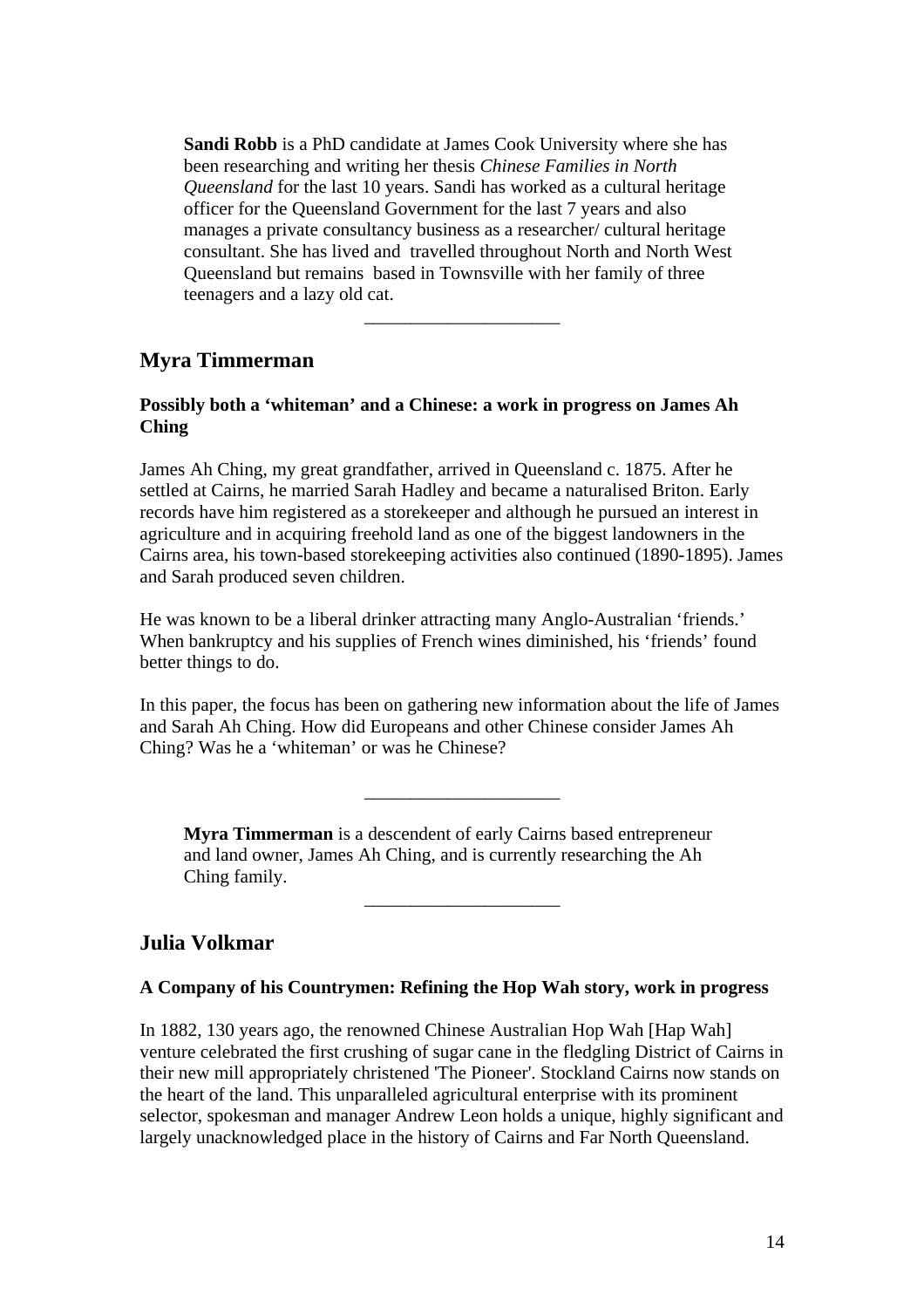**Sandi Robb** is a PhD candidate at James Cook University where she has been researching and writing her thesis *Chinese Families in North Queensland* for the last 10 years. Sandi has worked as a cultural heritage officer for the Queensland Government for the last 7 years and also manages a private consultancy business as a researcher/ cultural heritage consultant. She has lived and travelled throughout North and North West Queensland but remains based in Townsville with her family of three teenagers and a lazy old cat.

\_\_\_\_\_\_\_\_\_\_\_\_\_\_\_\_\_\_\_\_\_

# **Myra Timmerman**

### **Possibly both a 'whiteman' and a Chinese: a work in progress on James Ah Ching**

James Ah Ching, my great grandfather, arrived in Queensland c. 1875. After he settled at Cairns, he married Sarah Hadley and became a naturalised Briton. Early records have him registered as a storekeeper and although he pursued an interest in agriculture and in acquiring freehold land as one of the biggest landowners in the Cairns area, his town-based storekeeping activities also continued (1890-1895). James and Sarah produced seven children.

He was known to be a liberal drinker attracting many Anglo-Australian 'friends.' When bankruptcy and his supplies of French wines diminished, his 'friends' found better things to do.

In this paper, the focus has been on gathering new information about the life of James and Sarah Ah Ching. How did Europeans and other Chinese consider James Ah Ching? Was he a 'whiteman' or was he Chinese?

\_\_\_\_\_\_\_\_\_\_\_\_\_\_\_\_\_\_\_\_\_

\_\_\_\_\_\_\_\_\_\_\_\_\_\_\_\_\_\_\_\_\_

**Myra Timmerman** is a descendent of early Cairns based entrepreneur and land owner, James Ah Ching, and is currently researching the Ah Ching family.

# **Julia Volkmar**

#### **A Company of his Countrymen: Refining the Hop Wah story, work in progress**

In 1882, 130 years ago, the renowned Chinese Australian Hop Wah [Hap Wah] venture celebrated the first crushing of sugar cane in the fledgling District of Cairns in their new mill appropriately christened 'The Pioneer'. Stockland Cairns now stands on the heart of the land. This unparalleled agricultural enterprise with its prominent selector, spokesman and manager Andrew Leon holds a unique, highly significant and largely unacknowledged place in the history of Cairns and Far North Queensland.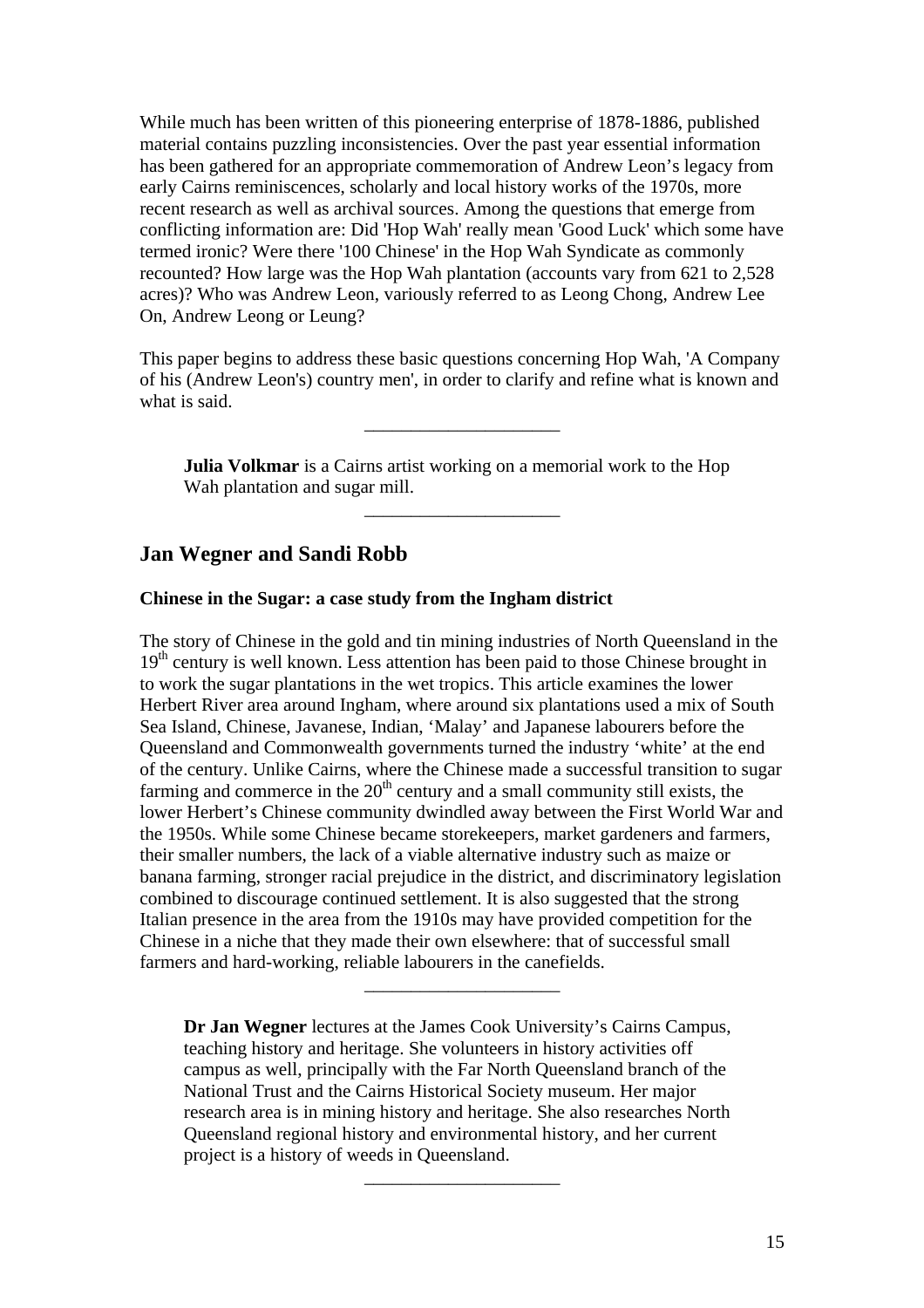While much has been written of this pioneering enterprise of 1878-1886, published material contains puzzling inconsistencies. Over the past year essential information has been gathered for an appropriate commemoration of Andrew Leon's legacy from early Cairns reminiscences, scholarly and local history works of the 1970s, more recent research as well as archival sources. Among the questions that emerge from conflicting information are: Did 'Hop Wah' really mean 'Good Luck' which some have termed ironic? Were there '100 Chinese' in the Hop Wah Syndicate as commonly recounted? How large was the Hop Wah plantation (accounts vary from 621 to 2,528 acres)? Who was Andrew Leon, variously referred to as Leong Chong, Andrew Lee On, Andrew Leong or Leung?

This paper begins to address these basic questions concerning Hop Wah, 'A Company of his (Andrew Leon's) country men', in order to clarify and refine what is known and what is said.

\_\_\_\_\_\_\_\_\_\_\_\_\_\_\_\_\_\_\_\_\_

**Julia Volkmar** is a Cairns artist working on a memorial work to the Hop Wah plantation and sugar mill.

\_\_\_\_\_\_\_\_\_\_\_\_\_\_\_\_\_\_\_\_\_

## **Jan Wegner and Sandi Robb**

#### **Chinese in the Sugar: a case study from the Ingham district**

The story of Chinese in the gold and tin mining industries of North Queensland in the  $19<sup>th</sup>$  century is well known. Less attention has been paid to those Chinese brought in to work the sugar plantations in the wet tropics. This article examines the lower Herbert River area around Ingham, where around six plantations used a mix of South Sea Island, Chinese, Javanese, Indian, 'Malay' and Japanese labourers before the Queensland and Commonwealth governments turned the industry 'white' at the end of the century. Unlike Cairns, where the Chinese made a successful transition to sugar farming and commerce in the  $20<sup>th</sup>$  century and a small community still exists, the lower Herbert's Chinese community dwindled away between the First World War and the 1950s. While some Chinese became storekeepers, market gardeners and farmers, their smaller numbers, the lack of a viable alternative industry such as maize or banana farming, stronger racial prejudice in the district, and discriminatory legislation combined to discourage continued settlement. It is also suggested that the strong Italian presence in the area from the 1910s may have provided competition for the Chinese in a niche that they made their own elsewhere: that of successful small farmers and hard-working, reliable labourers in the canefields.

**Dr Jan Wegner** lectures at the James Cook University's Cairns Campus, teaching history and heritage. She volunteers in history activities off campus as well, principally with the Far North Queensland branch of the National Trust and the Cairns Historical Society museum. Her major research area is in mining history and heritage. She also researches North Queensland regional history and environmental history, and her current project is a history of weeds in Queensland.

\_\_\_\_\_\_\_\_\_\_\_\_\_\_\_\_\_\_\_\_\_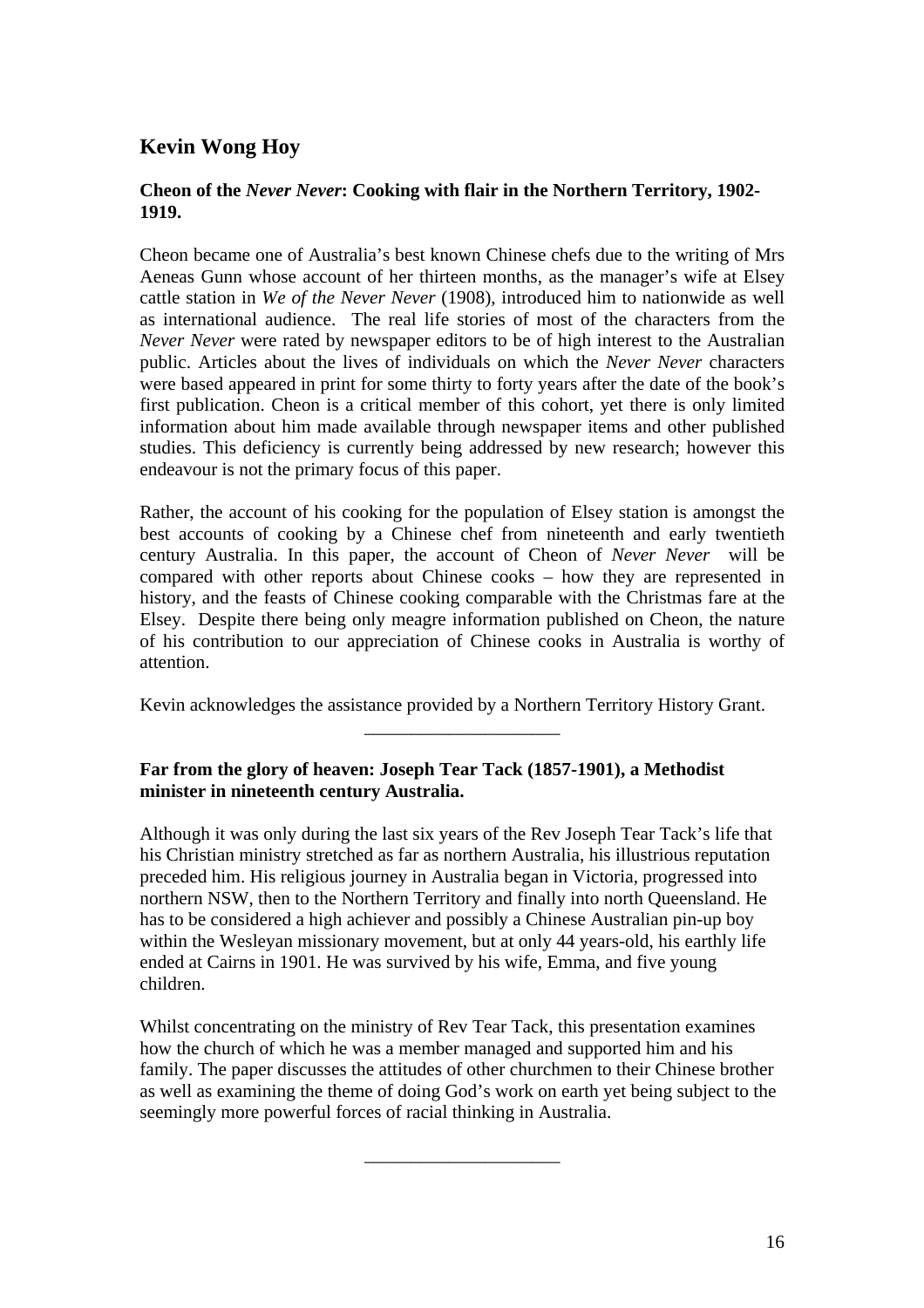# **Kevin Wong Hoy**

## **Cheon of the** *Never Never***: Cooking with flair in the Northern Territory, 1902- 1919.**

Cheon became one of Australia's best known Chinese chefs due to the writing of Mrs Aeneas Gunn whose account of her thirteen months, as the manager's wife at Elsey cattle station in *We of the Never Never* (1908), introduced him to nationwide as well as international audience. The real life stories of most of the characters from the *Never Never* were rated by newspaper editors to be of high interest to the Australian public. Articles about the lives of individuals on which the *Never Never* characters were based appeared in print for some thirty to forty years after the date of the book's first publication. Cheon is a critical member of this cohort, yet there is only limited information about him made available through newspaper items and other published studies. This deficiency is currently being addressed by new research; however this endeavour is not the primary focus of this paper.

Rather, the account of his cooking for the population of Elsey station is amongst the best accounts of cooking by a Chinese chef from nineteenth and early twentieth century Australia. In this paper, the account of Cheon of *Never Never* will be compared with other reports about Chinese cooks – how they are represented in history, and the feasts of Chinese cooking comparable with the Christmas fare at the Elsey. Despite there being only meagre information published on Cheon, the nature of his contribution to our appreciation of Chinese cooks in Australia is worthy of attention.

Kevin acknowledges the assistance provided by a Northern Territory History Grant.

\_\_\_\_\_\_\_\_\_\_\_\_\_\_\_\_\_\_\_\_\_

## **Far from the glory of heaven: Joseph Tear Tack (1857-1901), a Methodist minister in nineteenth century Australia.**

Although it was only during the last six years of the Rev Joseph Tear Tack's life that his Christian ministry stretched as far as northern Australia, his illustrious reputation preceded him. His religious journey in Australia began in Victoria, progressed into northern NSW, then to the Northern Territory and finally into north Queensland. He has to be considered a high achiever and possibly a Chinese Australian pin-up boy within the Wesleyan missionary movement, but at only 44 years-old, his earthly life ended at Cairns in 1901. He was survived by his wife, Emma, and five young children.

Whilst concentrating on the ministry of Rev Tear Tack, this presentation examines how the church of which he was a member managed and supported him and his family. The paper discusses the attitudes of other churchmen to their Chinese brother as well as examining the theme of doing God's work on earth yet being subject to the seemingly more powerful forces of racial thinking in Australia.